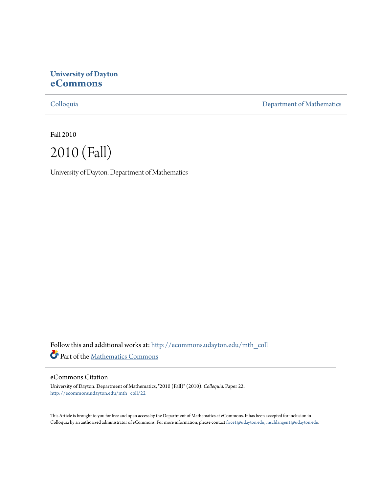# **University of Dayton [eCommons](http://ecommons.udayton.edu?utm_source=ecommons.udayton.edu%2Fmth_coll%2F22&utm_medium=PDF&utm_campaign=PDFCoverPages)**

[Colloquia](http://ecommons.udayton.edu/mth_coll?utm_source=ecommons.udayton.edu%2Fmth_coll%2F22&utm_medium=PDF&utm_campaign=PDFCoverPages) [Department of Mathematics](http://ecommons.udayton.edu/mth?utm_source=ecommons.udayton.edu%2Fmth_coll%2F22&utm_medium=PDF&utm_campaign=PDFCoverPages)

Fall 2010



University of Dayton. Department of Mathematics

Follow this and additional works at: [http://ecommons.udayton.edu/mth\\_coll](http://ecommons.udayton.edu/mth_coll?utm_source=ecommons.udayton.edu%2Fmth_coll%2F22&utm_medium=PDF&utm_campaign=PDFCoverPages) Part of the [Mathematics Commons](http://network.bepress.com/hgg/discipline/174?utm_source=ecommons.udayton.edu%2Fmth_coll%2F22&utm_medium=PDF&utm_campaign=PDFCoverPages)

### eCommons Citation

University of Dayton. Department of Mathematics, "2010 (Fall)" (2010). *Colloquia.* Paper 22. [http://ecommons.udayton.edu/mth\\_coll/22](http://ecommons.udayton.edu/mth_coll/22?utm_source=ecommons.udayton.edu%2Fmth_coll%2F22&utm_medium=PDF&utm_campaign=PDFCoverPages)

This Article is brought to you for free and open access by the Department of Mathematics at eCommons. It has been accepted for inclusion in Colloquia by an authorized administrator of eCommons. For more information, please contact [frice1@udayton.edu, mschlangen1@udayton.edu.](mailto:frice1@udayton.edu,%20mschlangen1@udayton.edu)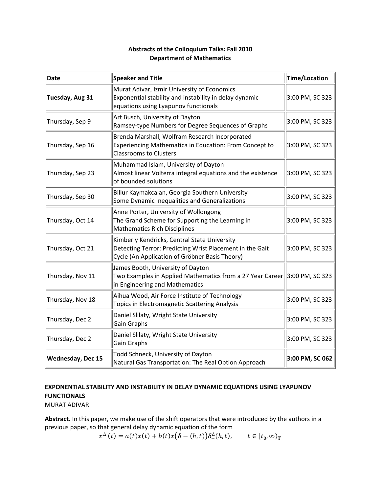### **Abstracts of the Colloquium Talks: Fall 2010 Department of Mathematics**

| <b>Date</b>              | <b>Speaker and Title</b>                                                                                                                                   | Time/Location   |
|--------------------------|------------------------------------------------------------------------------------------------------------------------------------------------------------|-----------------|
| Tuesday, Aug 31          | Murat Adivar, Izmir University of Economics<br>Exponential stability and instability in delay dynamic<br>equations using Lyapunov functionals              | 3:00 PM, SC 323 |
| Thursday, Sep 9          | Art Busch, University of Dayton<br>Ramsey-type Numbers for Degree Sequences of Graphs                                                                      | 3:00 PM, SC 323 |
| Thursday, Sep 16         | Brenda Marshall, Wolfram Research Incorporated<br>Experiencing Mathematica in Education: From Concept to<br><b>Classrooms to Clusters</b>                  | 3:00 PM, SC 323 |
| Thursday, Sep 23         | Muhammad Islam, University of Dayton<br>Almost linear Volterra integral equations and the existence<br>of bounded solutions                                | 3:00 PM, SC 323 |
| Thursday, Sep 30         | Billur Kaymakcalan, Georgia Southern University<br>Some Dynamic Inequalities and Generalizations                                                           | 3:00 PM, SC 323 |
| Thursday, Oct 14         | Anne Porter, University of Wollongong<br>The Grand Scheme for Supporting the Learning in<br><b>Mathematics Rich Disciplines</b>                            | 3:00 PM, SC 323 |
| Thursday, Oct 21         | Kimberly Kendricks, Central State University<br>Detecting Terror: Predicting Wrist Placement in the Gait<br>Cycle (An Application of Gröbner Basis Theory) | 3:00 PM, SC 323 |
| Thursday, Nov 11         | James Booth, University of Dayton<br>Two Examples in Applied Mathematics from a 27 Year Career 3:00 PM, SC 323<br>in Engineering and Mathematics           |                 |
| Thursday, Nov 18         | Aihua Wood, Air Force Institute of Technology<br>Topics in Electromagnetic Scattering Analysis                                                             | 3:00 PM, SC 323 |
| Thursday, Dec 2          | Daniel Slilaty, Wright State University<br>Gain Graphs                                                                                                     | 3:00 PM, SC 323 |
| Thursday, Dec 2          | Daniel Slilaty, Wright State University<br>Gain Graphs                                                                                                     | 3:00 PM, SC 323 |
| <b>Wednesday, Dec 15</b> | Todd Schneck, University of Dayton<br>Natural Gas Transportation: The Real Option Approach                                                                 | 3:00 PM, SC 062 |

# **EXPONENTIAL STABILITY AND INSTABILITY IN DELAY DYNAMIC EQUATIONS USING LYAPUNOV FUNCTIONALS**

MURAT ADIVAR

**Abstract.** In this paper, we make use of the shift operators that were introduced by the authors in a previous paper, so that general delay dynamic equation of the form

$$
x^{\Delta}(t) = a(t)x(t) + b(t)x(\delta - (h,t))\delta^{\Delta}(h,t), \qquad t \in [t_0, \infty)_{\mathbb{T}}
$$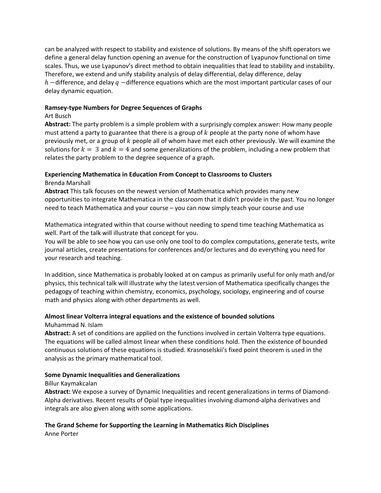can be analyzed with respect to stability and existence of solutions. By means of the shift operators we define a general delay function opening an avenue for the construction of Lyapunov functional on time scales. Thus, we use Lyapunov's direct method to obtain inequalities that lead to stability and instability. Therefore, we extend and unify stability analysis of delay differential, delay difference, delay  $h$  –difference, and delay  $q$  –difference equations which are the most important particular cases of our delay dynamic equation.

### **Ramsey‐type Numbers for Degree Sequences of Graphs**

### Art Busch

**Abstract:** The party problem is a simple problem with a surprisingly complex answer: How many people must attend a party to guarantee that there is a group of  $k$  people at the party none of whom have previously met, or a group of  $k$  people all of whom have met each other previously. We will examine the solutions for  $k = 3$  and  $k = 4$  and some generalizations of the problem, including a new problem that relates the party problem to the degree sequence of a graph.

### **Experiencing Mathematica in Education From Concept to Classrooms to Clusters** Brenda Marshall

**Abstract** This talk focuses on the newest version of Mathematica which provides many new opportunities to integrate Mathematica in the classroom that it didn't provide in the past. You no longer need to teach Mathematica and your course – you can now simply teach your course and use

Mathematica integrated within that course without needing to spend time teaching Mathematica as well. Part of the talk will illustrate that concept for you.

You will be able to see how you can use only one tool to do complex computations, generate tests, write journal articles, create presentations for conferences and/or lectures and do everything you need for your research and teaching.

In addition, since Mathematica is probably looked at on campus as primarily useful for only math and/or physics, this technical talk will illustrate why the latest version of Mathematica specifically changes the pedagogy of teaching within chemistry, economics, psychology, sociology, engineering and of course math and physics along with other departments as well.

### **Almost linear Volterra integral equations and the existence of bounded solutions**

Muhammad N. Islam

**Abstract:** A set of conditions are applied on the functions involved in certain Volterra type equations. The equations will be called almost linear when these conditions hold. Then the existence of bounded continuous solutions of these equations is studied. Krasnoselskii's fixed point theorem is used in the analysis as the primary mathematical tool.

### **Some Dynamic Inequalities and Generalizations**

#### Billur Kaymakcalan

**Abstract:** We expose a survey of Dynamic Inequalities and recent generalizations in terms of Diamond‐ Alpha derivatives. Recent results of Opial type inequalities involving diamond‐alpha derivatives and integrals are also given along with some applications.

# **The Grand Scheme for Supporting the Learning in Mathematics Rich Disciplines**

Anne Porter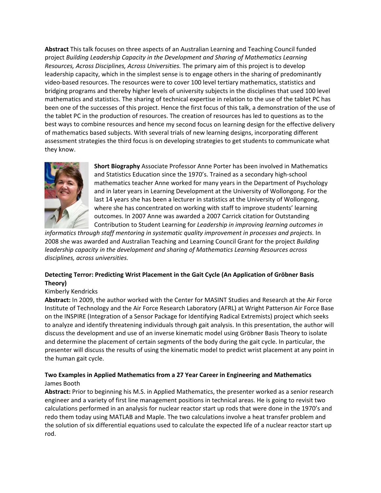**Abstract** This talk focuses on three aspects of an Australian Learning and Teaching Council funded project *Building Leadership Capacity in the Development and Sharing of Mathematics Learning Resources, Across Disciplines, Across Universities.* The primary aim of this project is to develop leadership capacity, which in the simplest sense is to engage others in the sharing of predominantly video‐based resources. The resources were to cover 100 level tertiary mathematics, statistics and bridging programs and thereby higher levels of university subjects in the disciplines that used 100 level mathematics and statistics. The sharing of technical expertise in relation to the use of the tablet PC has been one of the successes of this project. Hence the first focus of this talk, a demonstration of the use of the tablet PC in the production of resources. The creation of resources has led to questions as to the best ways to combine resources and hence my second focus on learning design for the effective delivery of mathematics based subjects. With several trials of new learning designs, incorporating different assessment strategies the third focus is on developing strategies to get students to communicate what they know.



**Short Biography** Associate Professor Anne Porter has been involved in Mathematics and Statistics Education since the 1970's. Trained as a secondary high‐school mathematics teacher Anne worked for many years in the Department of Psychology and in later years in Learning Development at the University of Wollongong. For the last 14 years she has been a lecturer in statistics at the University of Wollongong, where she has concentrated on working with staff to improve students' learning outcomes. In 2007 Anne was awarded a 2007 Carrick citation for Outstanding Contribution to Student Learning for *Leadership in improving learning outcomes in*

*informatics through staff mentoring in systematic quality improvement in processes and projects.* In 2008 she was awarded and Australian Teaching and Learning Council Grant for the project *Building leadership capacity in the development and sharing of Mathematics Learning Resources across disciplines, across universities.*

### **Detecting Terror: Predicting Wrist Placement in the Gait Cycle (An Application of Gröbner Basis Theory)**

### Kimberly Kendricks

**Abstract:** In 2009, the author worked with the Center for MASINT Studies and Research at the Air Force Institute of Technology and the Air Force Research Laboratory (AFRL) at Wright Patterson Air Force Base on the INSPIRE (Integration of a Sensor Package for Identifying Radical Extremists) project which seeks to analyze and identify threatening individuals through gait analysis. In this presentation, the author will discuss the development and use of an inverse kinematic model using Gröbner Basis Theory to isolate and determine the placement of certain segments of the body during the gait cycle. In particular, the presenter will discuss the results of using the kinematic model to predict wrist placement at any point in the human gait cycle.

### **Two Examples in Applied Mathematics from a 27 Year Career in Engineering and Mathematics** James Booth

**Abstract:** Prior to beginning his M.S. in Applied Mathematics, the presenter worked as a senior research engineer and a variety of first line management positions in technical areas. He is going to revisit two calculations performed in an analysis for nuclear reactor start up rods that were done in the 1970's and redo them today using MATLAB and Maple. The two calculations involve a heat transfer problem and the solution of six differential equations used to calculate the expected life of a nuclear reactor start up rod.